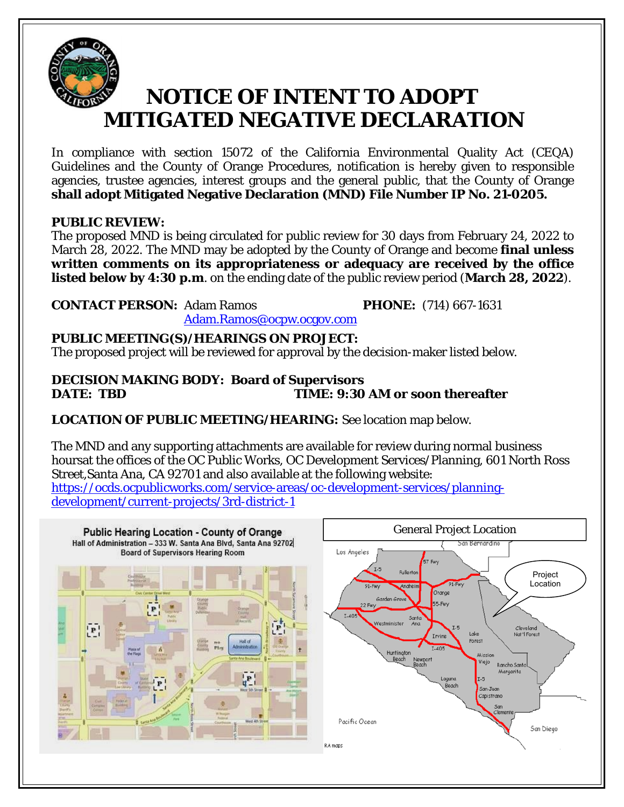

# **NOTICE OF INTENT TO ADOPT MITIGATED NEGATIVE DECLARATION**

In compliance with section 15072 of the California Environmental Quality Act (CEQA) Guidelines and the County of Orange Procedures, notification is hereby given to responsible agencies, trustee agencies, interest groups and the general public, that the County of Orange **shall adopt Mitigated Negative Declaration (MND) File Number IP No. 21-0205.** 

## **PUBLIC REVIEW:**

The proposed MND is being circulated for public review for 30 days from February 24, 2022 to March 28, 2022. The MND may be adopted by the County of Orange and become **final unless written comments on its appropriateness or adequacy are received by the office listed below by 4:30 p.m**. on the ending date of the public review period (**March 28, 2022**).

## **CONTACT PERSON:** Adam Ramos **PHONE:** (714) 667-1631

Adam.Ramos@ocpw.ocgov.com

## **PUBLIC MEETING(S)/HEARINGS ON PROJECT:**

The proposed project will be reviewed for approval by the decision-maker listed below.

## **DECISION MAKING BODY: Board of Supervisors TIME: 9:30 AM or soon thereafter**

**LOCATION OF PUBLIC MEETING/HEARING:** See location map below.

The MND and any supporting attachments are available for review during normal business hours at the offices of the OC Public Works, OC Development Services/Planning, 601 North Ross Street, Santa Ana, CA 92701 and also available at the following website: https://ocds.ocpublicworks.com/service-areas/oc-development-services/planningdevelopment/current-projects/3rd-district-1

Public Hearing Location - County of Orange Hall of Administration - 333 W. Santa Ana Blvd, Santa Ana 92702 **Board of Supervisors Hearing Room**  $\overline{P}$ Hall of<br>Administratio